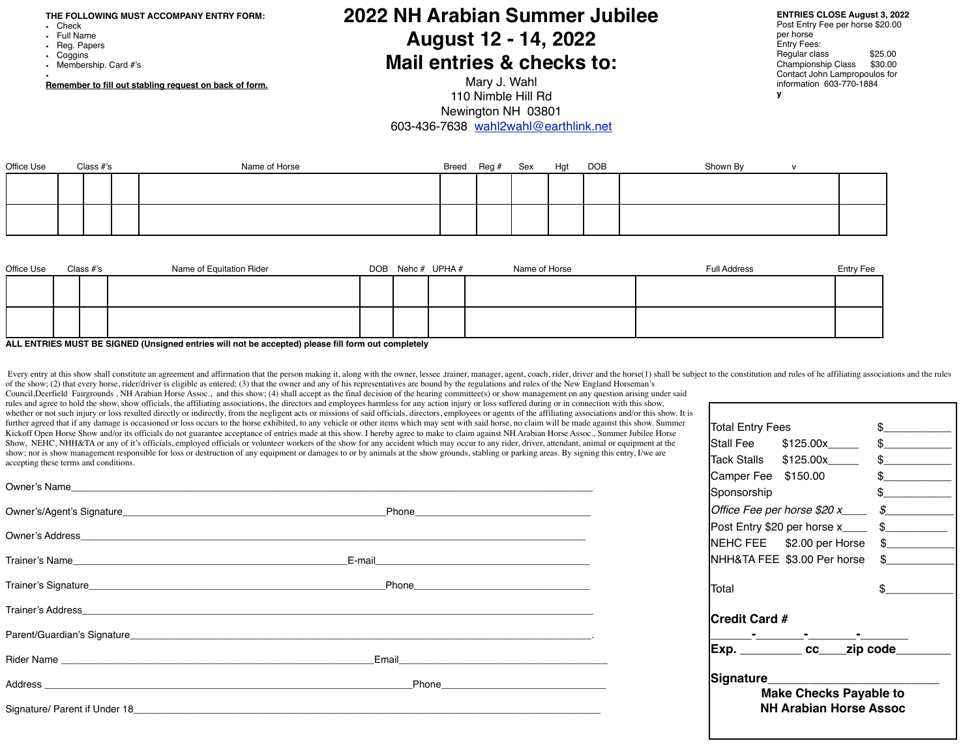**THE FOLLOWING MUST ACCOMPANY ENTRY FORM:**

- Check
- 
- Full Name<br>• Reg. Pape
- Reg. Papers<br>• Coggins **Coggins**
- Membership. Card #'s

• **Remember to fill out stabling request on back of form.**

## **2022 NH Arabian Summer Jubilee August 12 - 14, 2022 Mail entries & checks to:**

Mary J. Wahl 110 Nimble Hill Rd Newington NH 03801 603-436-7638 [wahl2wahl@earthlink.net](mailto:wahl2wahl@earthlink.net)

| <b>ENTRIES CLOSE August 3, 2022</b> |
|-------------------------------------|
|-------------------------------------|

Post Entry Fee per horse \$20.00 per horse Entry Fees: Regular class \$25.00<br>Championship Class \$30.00 Championship Class Contact John Lampropoulos for information 603-770-1884 **y**

| Office Use | Class #'s | Name of Horse | Breed Reg # Sex |  | Hgt | <b>DOB</b> | Shown By |  |
|------------|-----------|---------------|-----------------|--|-----|------------|----------|--|
|            |           |               |                 |  |     |            |          |  |
|            |           |               |                 |  |     |            |          |  |
|            |           |               |                 |  |     |            |          |  |
|            |           |               |                 |  |     |            |          |  |

| Office Use | Class #'s | Name of Equitation Rider |  | DOB Nehc # UPHA # | Name of Horse | <b>Full Address</b> | <b>Entry Fee</b> |
|------------|-----------|--------------------------|--|-------------------|---------------|---------------------|------------------|
|            |           |                          |  |                   |               |                     |                  |
|            |           |                          |  |                   |               |                     |                  |
|            |           |                          |  |                   |               |                     |                  |
|            |           |                          |  |                   |               |                     |                  |

**ALL ENTRIES MUST BE SIGNED (Unsigned entries will not be accepted) please fill form out completely** 

Every entry at this show shall constitute an agreement and affirmation that the person making it, along with the owner, lessee ,trainer, manager, agent, coach, rider, driver and the horse(1) shall be subject to the constit of the show; (2) that every horse, rider/driver is eligible as entered; (3) that the owner and any of his representatives are bound by the regulations and rules of the New England Horseman's

Council,Deerfield Fairgrounds , NH Arabian Horse Assoc., and this show; (4) shall accept as the final decision of the hearing committee(s) or show management on any question arising under said rules and agree to hold the show, show officials, the affiliating associations, the directors and employees harmless for any action injury or loss suffered during or in connection with this show, whether or not such injury or loss resulted directly or indirectly, from the negligent acts or missions of said officials, directors, employees or agents of the affiliating associations and/or this show. It is further agreed that if any damage is occasioned or loss occurs to the horse exhibited, to any vehicle or other items which may sent with said horse, no claim will be made against this show. Summer Kickoff Open Horse Show and/or its officials do not guarantee acceptance of entries made at this show. I hereby agree to make to claim against NH Arabian Horse Assoc., Summer Jubilee Horse Show, NEHC, NHH&TA or any of it's officials, employed officials or volunteer workers of the show for any accident which may occur to any rider, driver, attendant, animal or equipment at the show; nor is show management responsible for loss or destruction of any equipment or damages to or by animals at the show grounds, stabling or parking areas. By signing this entry, I/we are accepting these terms and conditions.

| Signature____<br><b>Make Checks Payable to</b> |                                           |                                                                                                                                                                                                                                                                                                                                                     |  |  |  |  |  |
|------------------------------------------------|-------------------------------------------|-----------------------------------------------------------------------------------------------------------------------------------------------------------------------------------------------------------------------------------------------------------------------------------------------------------------------------------------------------|--|--|--|--|--|
|                                                | Exp. __________ cc____zip code____        |                                                                                                                                                                                                                                                                                                                                                     |  |  |  |  |  |
| <b>Credit Card #</b>                           |                                           |                                                                                                                                                                                                                                                                                                                                                     |  |  |  |  |  |
| Total                                          |                                           | $\frac{1}{2}$                                                                                                                                                                                                                                                                                                                                       |  |  |  |  |  |
|                                                | NHH&TA FEE \$3.00 Per horse               | $\frac{1}{2}$                                                                                                                                                                                                                                                                                                                                       |  |  |  |  |  |
|                                                | NEHC FEE \$2.00 per Horse \$              |                                                                                                                                                                                                                                                                                                                                                     |  |  |  |  |  |
|                                                | Post Entry \$20 per horse x____           | $\frac{1}{2}$                                                                                                                                                                                                                                                                                                                                       |  |  |  |  |  |
|                                                | Office Fee per horse \$20 x____           | $\frac{1}{2}$                                                                                                                                                                                                                                                                                                                                       |  |  |  |  |  |
| Sponsorship                                    |                                           | $\frac{1}{2}$                                                                                                                                                                                                                                                                                                                                       |  |  |  |  |  |
|                                                | Camper Fee \$150.00                       | $\begin{picture}(20,20) \put(0,0){\line(1,0){10}} \put(15,0){\line(1,0){10}} \put(15,0){\line(1,0){10}} \put(15,0){\line(1,0){10}} \put(15,0){\line(1,0){10}} \put(15,0){\line(1,0){10}} \put(15,0){\line(1,0){10}} \put(15,0){\line(1,0){10}} \put(15,0){\line(1,0){10}} \put(15,0){\line(1,0){10}} \put(15,0){\line(1,0){10}} \put(15,0){\line(1$ |  |  |  |  |  |
|                                                | Tack Stalls \$125.00x_______ \$__________ |                                                                                                                                                                                                                                                                                                                                                     |  |  |  |  |  |
|                                                | Stall Fee \$125.00x______ \$_________     |                                                                                                                                                                                                                                                                                                                                                     |  |  |  |  |  |
| <b>Total Entry Fees</b>                        |                                           | \$                                                                                                                                                                                                                                                                                                                                                  |  |  |  |  |  |